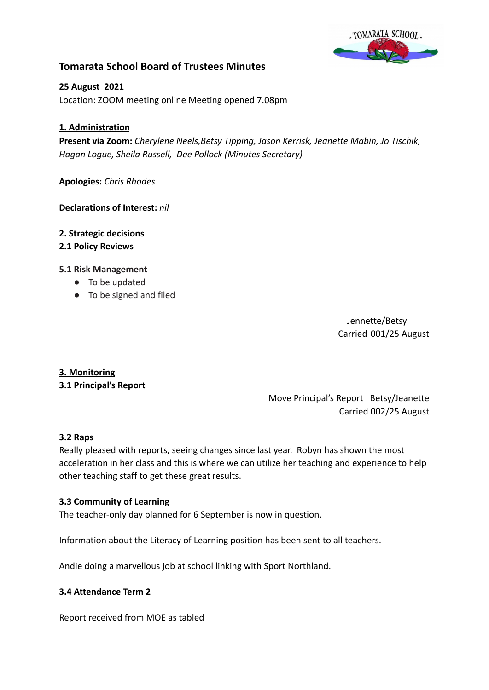

## **Tomarata School Board of Trustees Minutes**

**25 August 2021** Location: ZOOM meeting online Meeting opened 7.08pm

## **1. Administration**

**Present via Zoom:** *Cherylene Neels,Betsy Tipping, Jason Kerrisk, Jeanette Mabin, Jo Tischik, Hagan Logue, Sheila Russell, Dee Pollock (Minutes Secretary)*

**Apologies:** *Chris Rhodes*

#### **Declarations of Interest:** *nil*

**2. Strategic decisions**

#### **2.1 Policy Reviews**

#### **5.1 Risk Management**

- To be updated
- To be signed and filed

Jennette/Betsy Carried 001/25 August

### **3. Monitoring**

**3.1 Principal's Report**

Move Principal's Report Betsy/Jeanette Carried 002/25 August

#### **3.2 Raps**

Really pleased with reports, seeing changes since last year. Robyn has shown the most acceleration in her class and this is where we can utilize her teaching and experience to help other teaching staff to get these great results.

#### **3.3 Community of Learning**

The teacher-only day planned for 6 September is now in question.

Information about the Literacy of Learning position has been sent to all teachers.

Andie doing a marvellous job at school linking with Sport Northland.

#### **3.4 Attendance Term 2**

Report received from MOE as tabled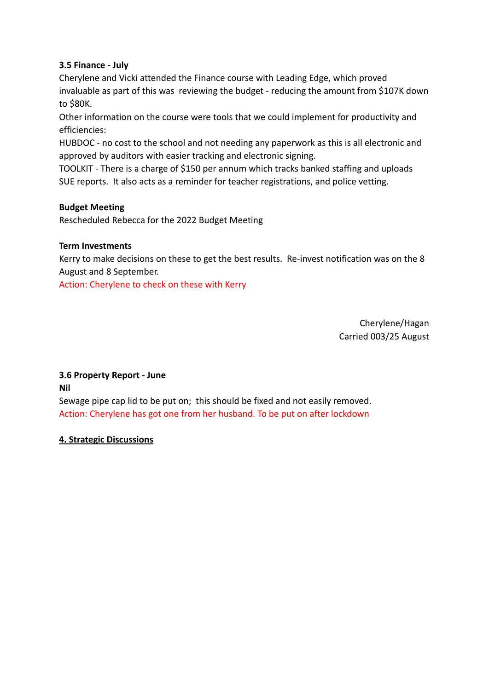## **3.5 Finance - July**

Cherylene and Vicki attended the Finance course with Leading Edge, which proved invaluable as part of this was reviewing the budget - reducing the amount from \$107K down to \$80K.

Other information on the course were tools that we could implement for productivity and efficiencies:

HUBDOC - no cost to the school and not needing any paperwork as this is all electronic and approved by auditors with easier tracking and electronic signing.

TOOLKIT - There is a charge of \$150 per annum which tracks banked staffing and uploads SUE reports. It also acts as a reminder for teacher registrations, and police vetting.

## **Budget Meeting**

Rescheduled Rebecca for the 2022 Budget Meeting

### **Term Investments**

Kerry to make decisions on these to get the best results. Re-invest notification was on the 8 August and 8 September.

Action: Cherylene to check on these with Kerry

Cherylene/Hagan Carried 003/25 August

# **3.6 Property Report - June**

**Nil**

Sewage pipe cap lid to be put on; this should be fixed and not easily removed. Action: Cherylene has got one from her husband. To be put on after lockdown

## **4. Strategic Discussions**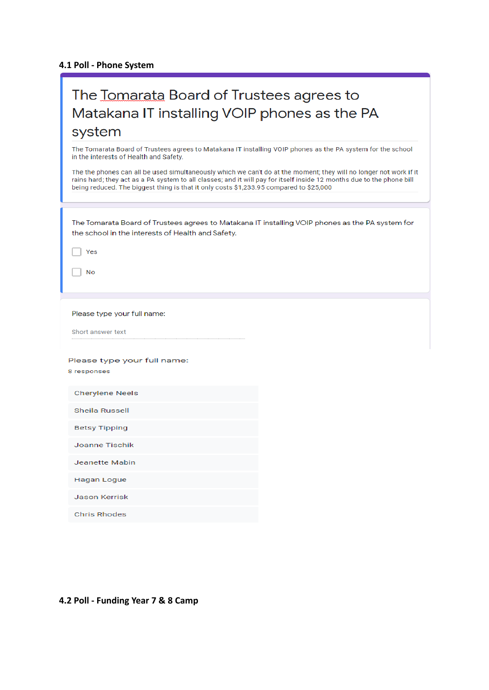## **4.1 Poll - Phone System**

ſ

| The Tomarata Board of Trustees agrees to                                                                                                                                                                                                                                                                                             |
|--------------------------------------------------------------------------------------------------------------------------------------------------------------------------------------------------------------------------------------------------------------------------------------------------------------------------------------|
| Matakana IT installing VOIP phones as the PA                                                                                                                                                                                                                                                                                         |
| system                                                                                                                                                                                                                                                                                                                               |
| The Tomarata Board of Trustees agrees to Matakana IT installing VOIP phones as the PA system for the school<br>in the interests of Health and Safety.                                                                                                                                                                                |
| The the phones can all be used simultaneously which we can't do at the moment; they will no longer not work if it<br>rains hard; they act as a PA system to all classes; and it will pay for itself inside 12 months due to the phone bill<br>being reduced. The biggest thing is that it only costs \$1,233.95 compared to \$25,000 |
|                                                                                                                                                                                                                                                                                                                                      |
| The Tomarata Board of Trustees agrees to Matakana IT installing VOIP phones as the PA system for<br>the school in the interests of Health and Safety.                                                                                                                                                                                |
| Yes                                                                                                                                                                                                                                                                                                                                  |
| No                                                                                                                                                                                                                                                                                                                                   |
|                                                                                                                                                                                                                                                                                                                                      |
| Please type your full name:                                                                                                                                                                                                                                                                                                          |
| Short answer text                                                                                                                                                                                                                                                                                                                    |
| Please type your full name:                                                                                                                                                                                                                                                                                                          |
| 8 responses                                                                                                                                                                                                                                                                                                                          |
| <b>Cherylene Neels</b>                                                                                                                                                                                                                                                                                                               |
| Sheila Russell                                                                                                                                                                                                                                                                                                                       |
| <b>Betsy Tipping</b>                                                                                                                                                                                                                                                                                                                 |
| Joanne Tischik                                                                                                                                                                                                                                                                                                                       |
| Jeanette Mabin                                                                                                                                                                                                                                                                                                                       |
| <b>Hagan Logue</b>                                                                                                                                                                                                                                                                                                                   |
| Jason Kerrisk                                                                                                                                                                                                                                                                                                                        |
| <b>Chris Rhodes</b>                                                                                                                                                                                                                                                                                                                  |

## **4.2 Poll - Funding Year 7 & 8 Camp**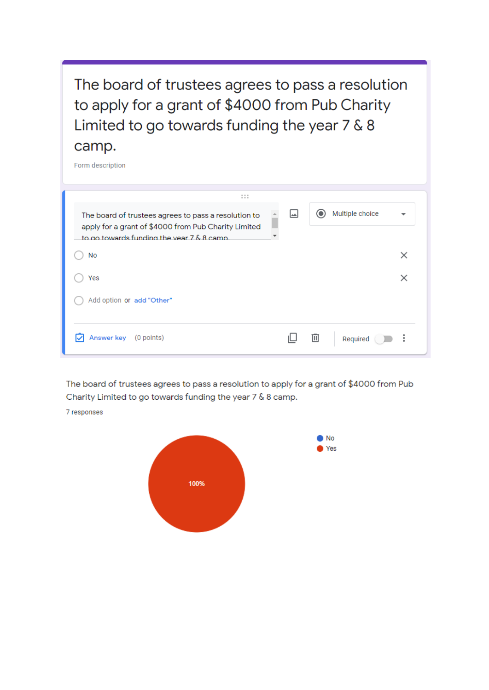The board of trustees agrees to pass a resolution to apply for a grant of \$4000 from Pub Charity Limited to go towards funding the year 7 & 8 camp.

Form description



The board of trustees agrees to pass a resolution to apply for a grant of \$4000 from Pub Charity Limited to go towards funding the year 7 & 8 camp.

7 responses